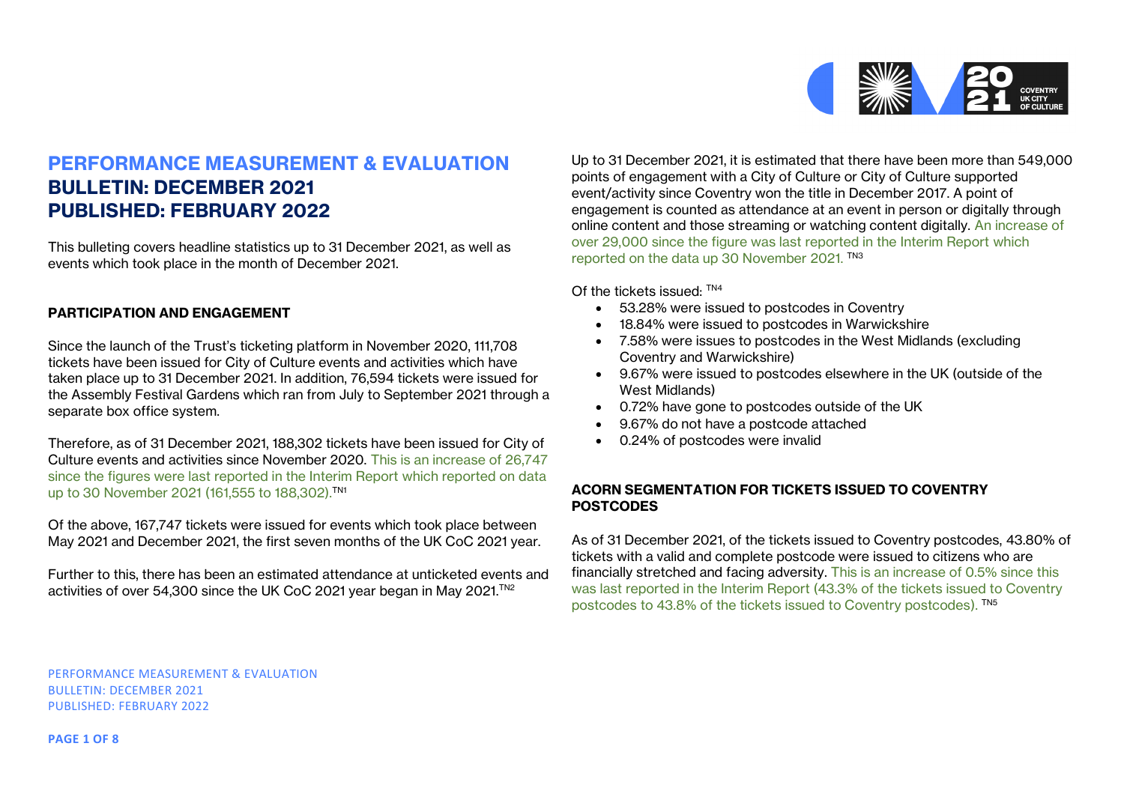

# **PERFORMANCE MEASUREMENT & EVALUATION BULLETIN: DECEMBER 2021 PUBLISHED: FEBRUARY 2022**

This bulleting covers headline statistics up to 31 December 2021, as well as events which took place in the month of December 2021.

# **PARTICIPATION AND ENGAGEMENT**

Since the launch of the Trust's ticketing platform in November 2020, 111,708 tickets have been issued for City of Culture events and activities which have taken place up to 31 December 2021. In addition, 76,594 tickets were issued for the Assembly Festival Gardens which ran from July to September 2021 through a separate box office system.

Therefore, as of 31 December 2021, 188,302 tickets have been issued for City of Culture events and activities since November 2020. This is an increase of 26,747 since the figures were last reported in the Interim Report which reported on data up to 30 November 2021 (161,555 to 188,302).TN1

Of the above, 167,747 tickets were issued for events which took place between May 2021 and December 2021, the first seven months of the UK CoC 2021 year.

Further to this, there has been an estimated attendance at unticketed events and activities of over 54,300 since the UK CoC 2021 year began in May 2021.<sup>™2</sup>

Up to 31 December 2021, it is estimated that there have been more than 549,000 points of engagement with a City of Culture or City of Culture supported event/activity since Coventry won the title in December 2017. A point of engagement is counted as attendance at an event in person or digitally through online content and those streaming or watching content digitally. An increase of over 29,000 since the figure was last reported in the Interim Report which reported on the data up 30 November 2021. TN3

Of the tickets issued: TN4

- 53.28% were issued to postcodes in Coventry
- 18.84% were issued to postcodes in Warwickshire
- 7.58% were issues to postcodes in the West Midlands (excluding Coventry and Warwickshire)
- 9.67% were issued to postcodes elsewhere in the UK (outside of the West Midlands)
- 0.72% have gone to postcodes outside of the UK
- 9.67% do not have a postcode attached
- 0.24% of postcodes were invalid

## **ACORN SEGMENTATION FOR TICKETS ISSUED TO COVENTRY POSTCODES**

As of 31 December 2021, of the tickets issued to Coventry postcodes, 43.80% of tickets with a valid and complete postcode were issued to citizens who are financially stretched and facing adversity. This is an increase of 0.5% since this was last reported in the Interim Report (43.3% of the tickets issued to Coventry postcodes to 43.8% of the tickets issued to Coventry postcodes). TN5

PERFORMANCE MEASUREMENT & EVALUATION BULLETIN: DECEMBER 2021 PUBLISHED: FEBRUARY 2022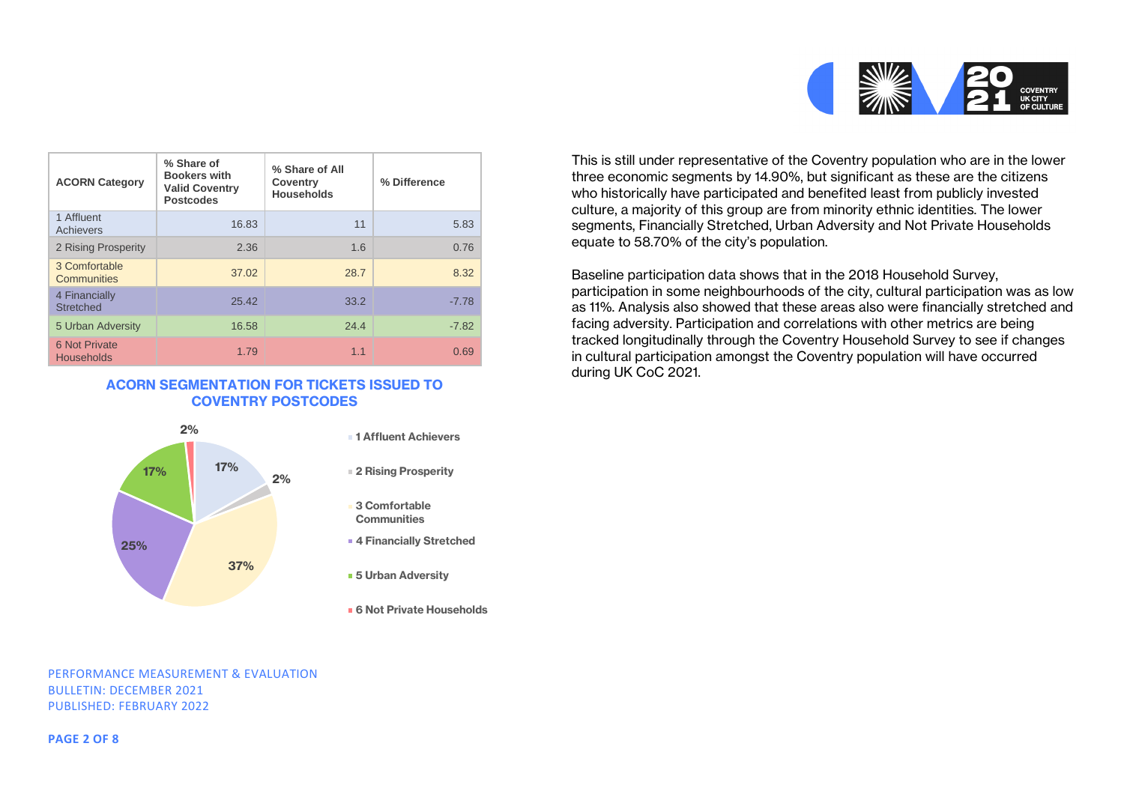

| <b>ACORN Category</b>              | % Share of<br><b>Bookers with</b><br><b>Valid Coventry</b><br><b>Postcodes</b> | % Share of All<br>Coventry<br><b>Households</b> | % Difference |
|------------------------------------|--------------------------------------------------------------------------------|-------------------------------------------------|--------------|
| 1 Affluent<br>Achievers            | 16.83                                                                          | 11                                              | 5.83         |
| 2 Rising Prosperity                | 2.36                                                                           | 1.6                                             | 0.76         |
| 3 Comfortable<br>Communities       | 37.02                                                                          | 28.7                                            | 8.32         |
| 4 Financially<br><b>Stretched</b>  | 25.42                                                                          | 33.2                                            | $-7.78$      |
| 5 Urban Adversity                  | 16.58                                                                          | 24.4                                            | $-7.82$      |
| 6 Not Private<br><b>Households</b> | 1.79                                                                           | 1.1                                             | 0.69         |

## **ACORN SEGMENTATION FOR TICKETS ISSUED TO COVENTRY POSTCODES**



- 
- **3 Comfortable Communities**
- **4 Financially Stretched**
- **5 Urban Adversity**
- **6 Not Private Households**

This is still under representative of the Coventry population who are in the lower three economic segments by 14.90%, but significant as these are the citizens who historically have participated and benefited least from publicly invested culture, a majority of this group are from minority ethnic identities. The lower segments, Financially Stretched, Urban Adversity and Not Private Households equate to 58.70% of the city's population.

Baseline participation data shows that in the 2018 Household Survey, participation in some neighbourhoods of the city, cultural participation was as low as 11%. Analysis also showed that these areas also were financially stretched and facing adversity. Participation and correlations with other metrics are being tracked longitudinally through the Coventry Household Survey to see if changes in cultural participation amongst the Coventry population will have occurred during UK CoC 2021.

#### PERFORMANCE MEASUREMENT & EVALUATION BULLETIN: DECEMBER 2021 PUBLISHED: FEBRUARY 2022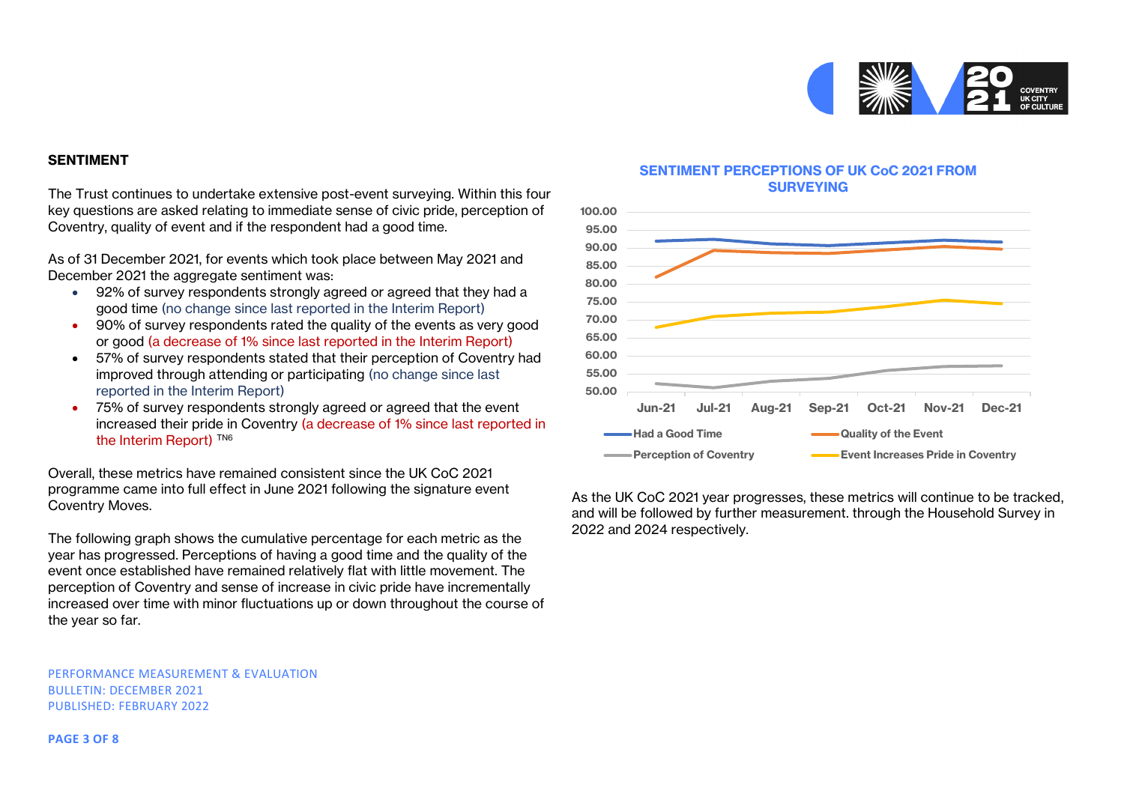

#### **SENTIMENT**

The Trust continues to undertake extensive post-event surveying. Within this four key questions are asked relating to immediate sense of civic pride, perception of Coventry, quality of event and if the respondent had a good time.

As of 31 December 2021, for events which took place between May 2021 and December 2021 the aggregate sentiment was:

- 92% of survey respondents strongly agreed or agreed that they had a good time (no change since last reported in the Interim Report)
- 90% of survey respondents rated the quality of the events as very good or good (a decrease of 1% since last reported in the Interim Report)
- 57% of survey respondents stated that their perception of Coventry had improved through attending or participating (no change since last reported in the Interim Report)
- 75% of survey respondents strongly agreed or agreed that the event increased their pride in Coventry (a decrease of 1% since last reported in the Interim Report)<sup>TN6</sup>

Overall, these metrics have remained consistent since the UK CoC 2021 programme came into full effect in June 2021 following the signature event Coventry Moves.

The following graph shows the cumulative percentage for each metric as the year has progressed. Perceptions of having a good time and the quality of the event once established have remained relatively flat with little movement. The perception of Coventry and sense of increase in civic pride have incrementally increased over time with minor fluctuations up or down throughout the course of the year so far.

PERFORMANCE MEASUREMENT & EVALUATION BULLETIN: DECEMBER 2021 PUBLISHED: FEBRUARY 2022

#### **SENTIMENT PERCEPTIONS OF UK CoC 2021 FROM SURVEYING**



As the UK CoC 2021 year progresses, these metrics will continue to be tracked, and will be followed by further measurement. through the Household Survey in 2022 and 2024 respectively.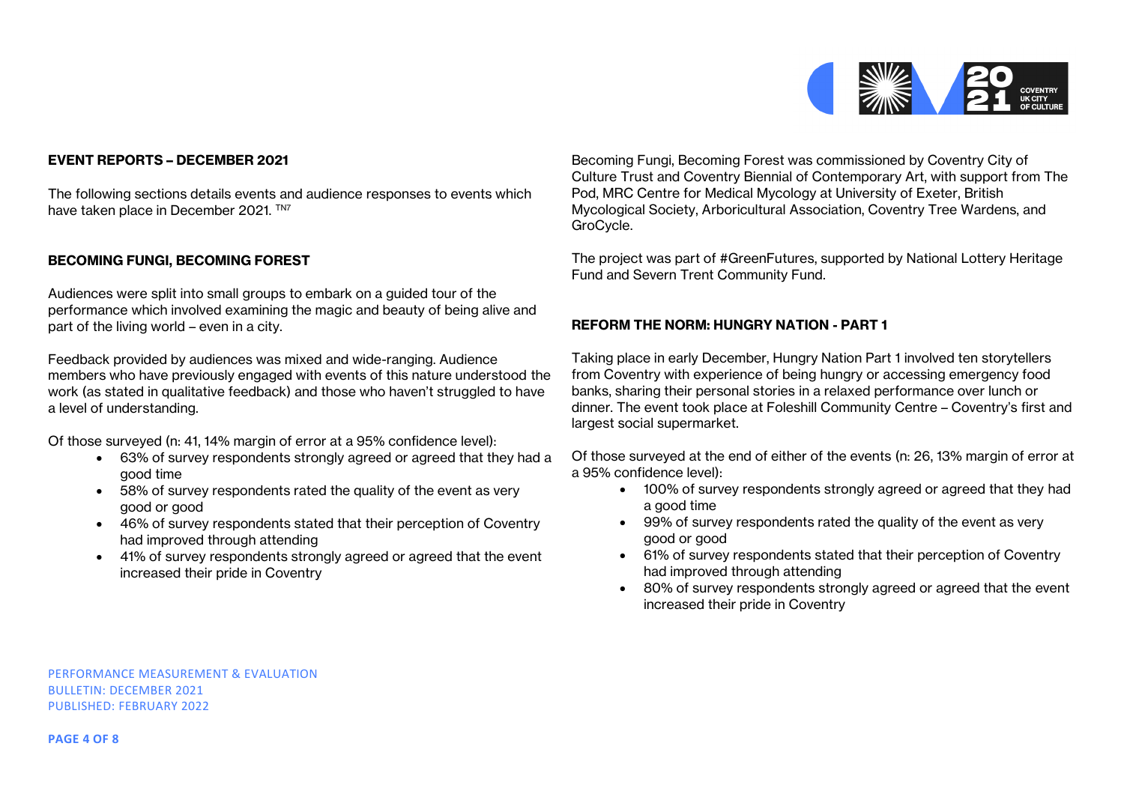

# **EVENT REPORTS – DECEMBER 2021**

The following sections details events and audience responses to events which have taken place in December 2021. TN7

## **BECOMING FUNGI, BECOMING FOREST**

Audiences were split into small groups to embark on a guided tour of the performance which involved examining the magic and beauty of being alive and part of the living world – even in a city.

Feedback provided by audiences was mixed and wide-ranging. Audience members who have previously engaged with events of this nature understood the work (as stated in qualitative feedback) and those who haven't struggled to have a level of understanding.

Of those surveyed (n: 41, 14% margin of error at a 95% confidence level):

- 63% of survey respondents strongly agreed or agreed that they had a good time
- 58% of survey respondents rated the quality of the event as very good or good
- 46% of survey respondents stated that their perception of Coventry had improved through attending
- 41% of survey respondents strongly agreed or agreed that the event increased their pride in Coventry

Becoming Fungi, Becoming Forest was commissioned by Coventry City of Culture Trust and Coventry Biennial of Contemporary Art, with support from The Pod, MRC Centre for Medical Mycology at University of Exeter, British Mycological Society, Arboricultural Association, Coventry Tree Wardens, and GroCycle.

The project was part of #GreenFutures, supported by National Lottery Heritage Fund and Severn Trent Community Fund.

#### **REFORM THE NORM: HUNGRY NATION - PART 1**

Taking place in early December, Hungry Nation Part 1 involved ten storytellers from Coventry with experience of being hungry or accessing emergency food banks, sharing their personal stories in a relaxed performance over lunch or dinner. The event took place at Foleshill Community Centre – Coventry's first and largest social supermarket.

Of those surveyed at the end of either of the events (n: 26, 13% margin of error at a 95% confidence level):

- 100% of survey respondents strongly agreed or agreed that they had a good time
- 99% of survey respondents rated the quality of the event as very good or good
- 61% of survey respondents stated that their perception of Coventry had improved through attending
- 80% of survey respondents strongly agreed or agreed that the event increased their pride in Coventry

PERFORMANCE MEASUREMENT & EVALUATION BULLETIN: DECEMBER 2021 PUBLISHED: FEBRUARY 2022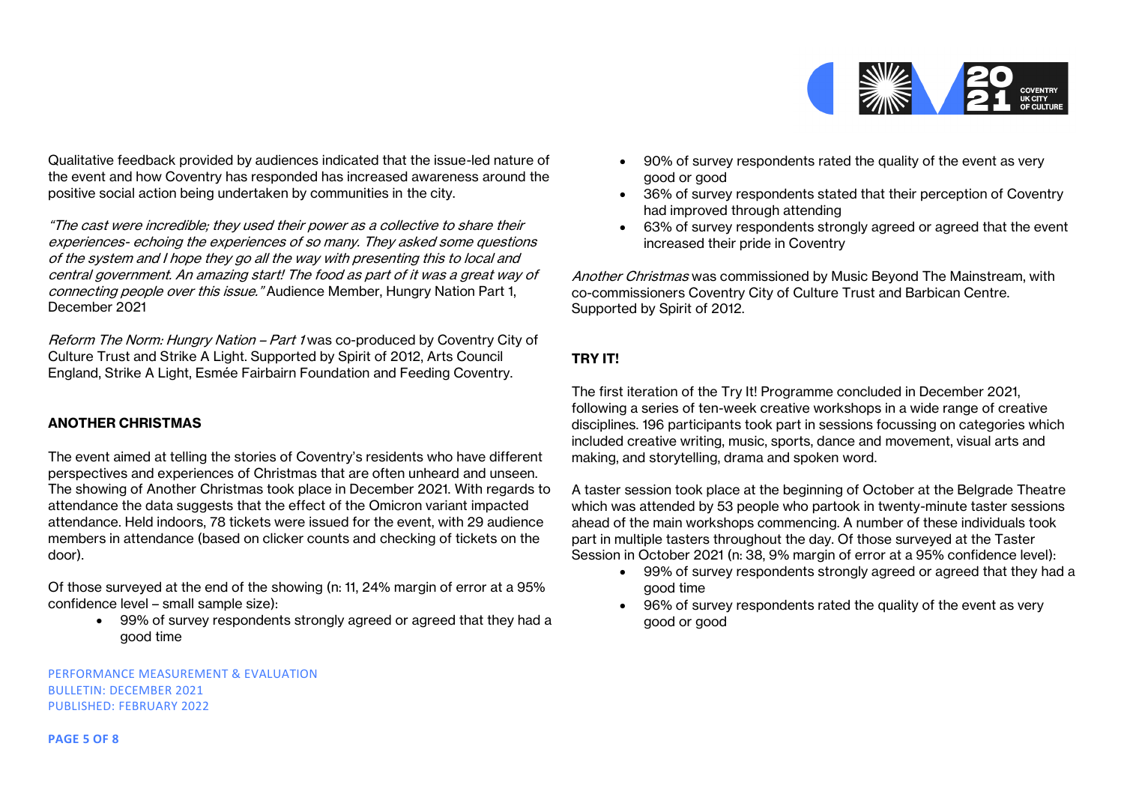

Qualitative feedback provided by audiences indicated that the issue-led nature of the event and how Coventry has responded has increased awareness around the positive social action being undertaken by communities in the city.

"The cast were incredible; they used their power as a collective to share their experiences- echoing the experiences of so many. They asked some questions of the system and I hope they go all the way with presenting this to local and central government. An amazing start! The food as part of it was a great way of connecting people over this issue." Audience Member, Hungry Nation Part 1, December 2021

Reform The Norm: Hungry Nation – Part 1 was co-produced by Coventry City of Culture Trust and Strike A Light. Supported by Spirit of 2012, Arts Council England, Strike A Light, Esmée Fairbairn Foundation and Feeding Coventry.

# **ANOTHER CHRISTMAS**

The event aimed at telling the stories of Coventry's residents who have different perspectives and experiences of Christmas that are often unheard and unseen. The showing of Another Christmas took place in December 2021. With regards to attendance the data suggests that the effect of the Omicron variant impacted attendance. Held indoors, 78 tickets were issued for the event, with 29 audience members in attendance (based on clicker counts and checking of tickets on the door).

Of those surveyed at the end of the showing (n: 11, 24% margin of error at a 95% confidence level – small sample size):

• 99% of survey respondents strongly agreed or agreed that they had a good time

PERFORMANCE MEASUREMENT & EVALUATION BULLETIN: DECEMBER 2021 PUBLISHED: FEBRUARY 2022

- 90% of survey respondents rated the quality of the event as very good or good
- 36% of survey respondents stated that their perception of Coventry had improved through attending
- 63% of survey respondents strongly agreed or agreed that the event increased their pride in Coventry

Another Christmas was commissioned by Music Beyond The Mainstream, with co-commissioners Coventry City of Culture Trust and Barbican Centre. Supported by Spirit of 2012.

# **TRY IT!**

The first iteration of the Try It! Programme concluded in December 2021, following a series of ten-week creative workshops in a wide range of creative disciplines. 196 participants took part in sessions focussing on categories which included creative writing, music, sports, dance and movement, visual arts and making, and storytelling, drama and spoken word.

A taster session took place at the beginning of October at the Belgrade Theatre which was attended by 53 people who partook in twenty-minute taster sessions ahead of the main workshops commencing. A number of these individuals took part in multiple tasters throughout the day. Of those surveyed at the Taster Session in October 2021 (n: 38, 9% margin of error at a 95% confidence level):

- 99% of survey respondents strongly agreed or agreed that they had a good time
- 96% of survey respondents rated the quality of the event as very good or good

**PAGE 5 OF 8**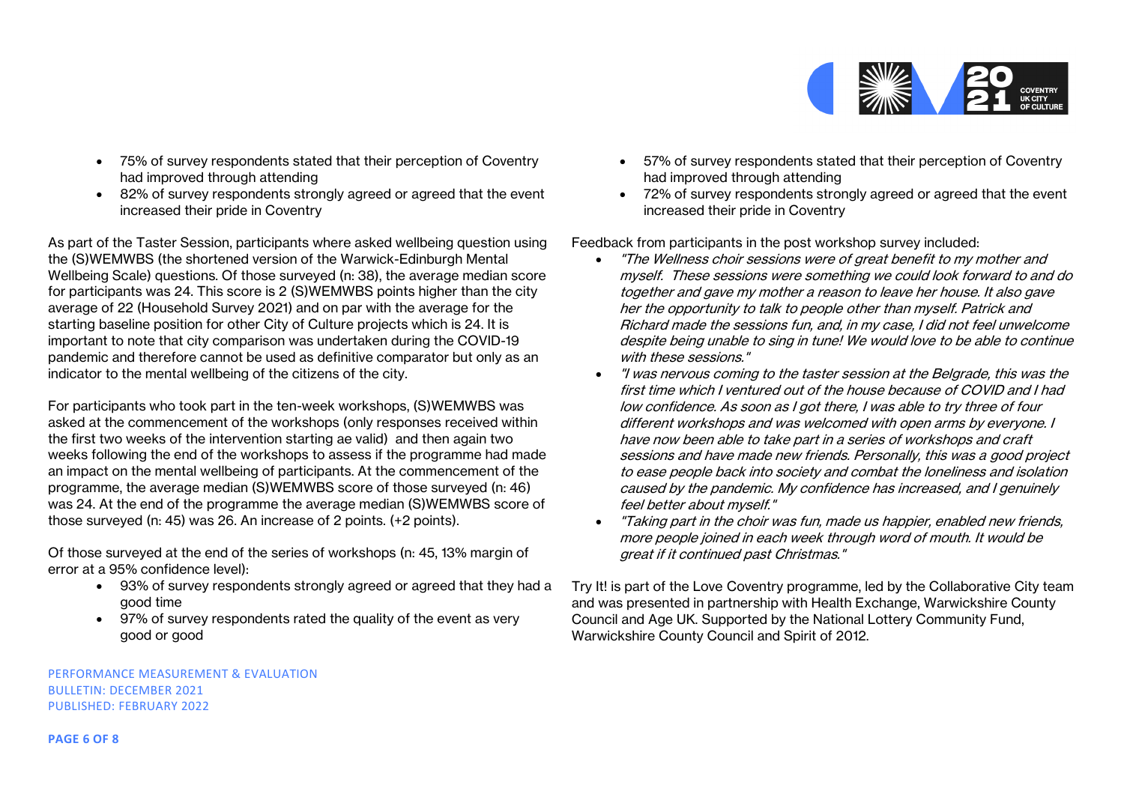

- 75% of survey respondents stated that their perception of Coventry had improved through attending
- 82% of survey respondents strongly agreed or agreed that the event increased their pride in Coventry

As part of the Taster Session, participants where asked wellbeing question using the (S)WEMWBS (the shortened version of the Warwick-Edinburgh Mental Wellbeing Scale) questions. Of those surveyed (n: 38), the average median score for participants was 24. This score is 2 (S)WEMWBS points higher than the city average of 22 (Household Survey 2021) and on par with the average for the starting baseline position for other City of Culture projects which is 24. It is important to note that city comparison was undertaken during the COVID-19 pandemic and therefore cannot be used as definitive comparator but only as an indicator to the mental wellbeing of the citizens of the city.

For participants who took part in the ten-week workshops, (S)WEMWBS was asked at the commencement of the workshops (only responses received within the first two weeks of the intervention starting ae valid) and then again two weeks following the end of the workshops to assess if the programme had made an impact on the mental wellbeing of participants. At the commencement of the programme, the average median (S)WEMWBS score of those surveyed (n: 46) was 24. At the end of the programme the average median (S)WEMWBS score of those surveyed (n: 45) was 26. An increase of 2 points. (+2 points).

Of those surveyed at the end of the series of workshops (n: 45, 13% margin of error at a 95% confidence level):

- 93% of survey respondents strongly agreed or agreed that they had a good time
- 97% of survey respondents rated the quality of the event as very good or good

PERFORMANCE MEASUREMENT & EVALUATION BULLETIN: DECEMBER 2021 PUBLISHED: FEBRUARY 2022

- 57% of survey respondents stated that their perception of Coventry had improved through attending
- 72% of survey respondents strongly agreed or agreed that the event increased their pride in Coventry

Feedback from participants in the post workshop survey included:

- "The Wellness choir sessions were of great benefit to my mother and myself. These sessions were something we could look forward to and do together and gave my mother a reason to leave her house. It also gave her the opportunity to talk to people other than myself. Patrick and Richard made the sessions fun, and, in my case, I did not feel unwelcome despite being unable to sing in tune! We would love to be able to continue with these sessions."
- "I was nervous coming to the taster session at the Belgrade, this was the first time which I ventured out of the house because of COVID and I had low confidence. As soon as I got there, I was able to try three of four different workshops and was welcomed with open arms by everyone. I have now been able to take part in a series of workshops and craft sessions and have made new friends. Personally, this was a good project to ease people back into society and combat the loneliness and isolation caused by the pandemic. My confidence has increased, and I genuinely feel better about myself."
- "Taking part in the choir was fun, made us happier, enabled new friends, more people joined in each week through word of mouth. It would be great if it continued past Christmas."

Try It! is part of the Love Coventry programme, led by the Collaborative City team and was presented in partnership with Health Exchange, Warwickshire County Council and Age UK. Supported by the National Lottery Community Fund, Warwickshire County Council and Spirit of 2012.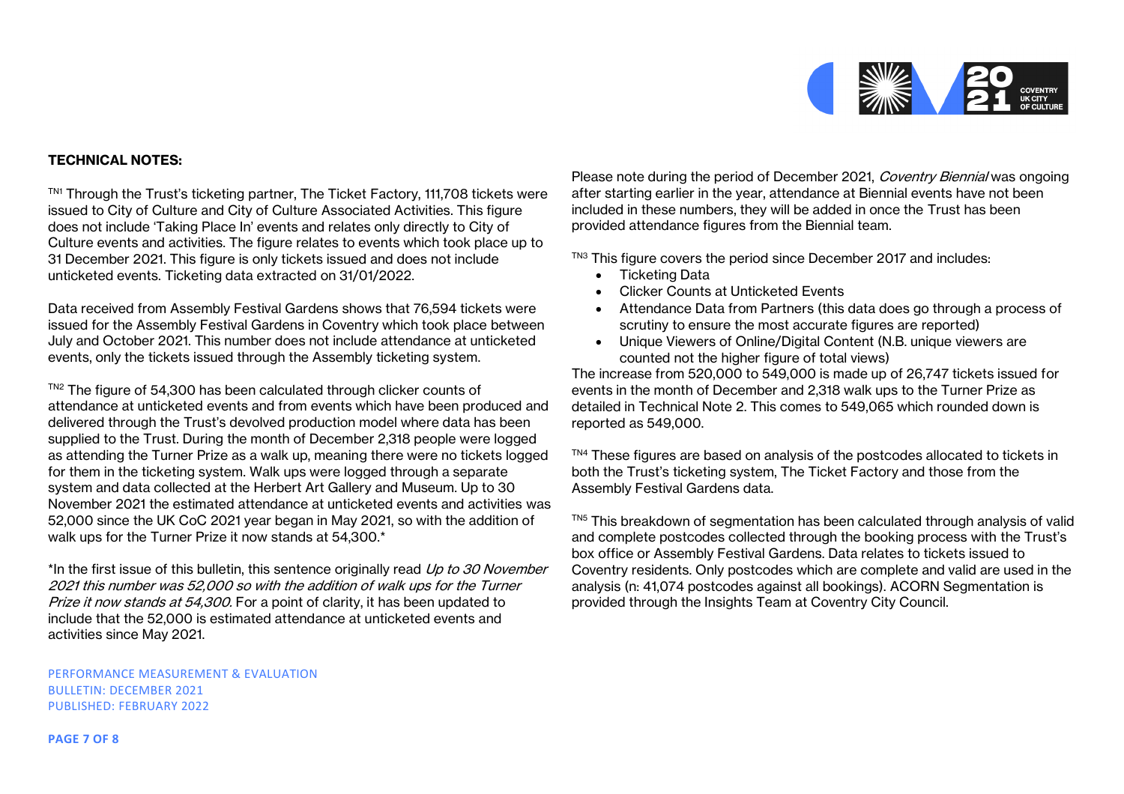

## **TECHNICAL NOTES:**

TN1 Through the Trust's ticketing partner, The Ticket Factory, 111,708 tickets were issued to City of Culture and City of Culture Associated Activities. This figure does not include 'Taking Place In' events and relates only directly to City of Culture events and activities. The figure relates to events which took place up to 31 December 2021. This figure is only tickets issued and does not include unticketed events. Ticketing data extracted on 31/01/2022.

Data received from Assembly Festival Gardens shows that 76,594 tickets were issued for the Assembly Festival Gardens in Coventry which took place between July and October 2021. This number does not include attendance at unticketed events, only the tickets issued through the Assembly ticketing system.

TN2 The figure of 54,300 has been calculated through clicker counts of attendance at unticketed events and from events which have been produced and delivered through the Trust's devolved production model where data has been supplied to the Trust. During the month of December 2,318 people were logged as attending the Turner Prize as a walk up, meaning there were no tickets logged for them in the ticketing system. Walk ups were logged through a separate system and data collected at the Herbert Art Gallery and Museum. Up to 30 November 2021 the estimated attendance at unticketed events and activities was 52,000 since the UK CoC 2021 year began in May 2021, so with the addition of walk ups for the Turner Prize it now stands at 54,300.\*

\*In the first issue of this bulletin, this sentence originally read Up to 30 November 2021 this number was 52,000 so with the addition of walk ups for the Turner Prize it now stands at 54,300. For a point of clarity, it has been updated to include that the 52,000 is estimated attendance at unticketed events and activities since May 2021.

PERFORMANCE MEASUREMENT & EVALUATION BULLETIN: DECEMBER 2021 PUBLISHED: FEBRUARY 2022

Please note during the period of December 2021, Coventry Biennial was ongoing after starting earlier in the year, attendance at Biennial events have not been included in these numbers, they will be added in once the Trust has been provided attendance figures from the Biennial team.

 $T<sup>NS</sup>$  This figure covers the period since December 2017 and includes:

- Ticketing Data
- Clicker Counts at Unticketed Events
- Attendance Data from Partners (this data does go through a process of scrutiny to ensure the most accurate figures are reported)
- Unique Viewers of Online/Digital Content (N.B. unique viewers are counted not the higher figure of total views)

The increase from 520,000 to 549,000 is made up of 26,747 tickets issued for events in the month of December and 2,318 walk ups to the Turner Prize as detailed in Technical Note 2. This comes to 549,065 which rounded down is reported as 549,000.

TN4 These figures are based on analysis of the postcodes allocated to tickets in both the Trust's ticketing system, The Ticket Factory and those from the Assembly Festival Gardens data.

TN5 This breakdown of segmentation has been calculated through analysis of valid and complete postcodes collected through the booking process with the Trust's box office or Assembly Festival Gardens. Data relates to tickets issued to Coventry residents. Only postcodes which are complete and valid are used in the analysis (n: 41,074 postcodes against all bookings). ACORN Segmentation is provided through the Insights Team at Coventry City Council.